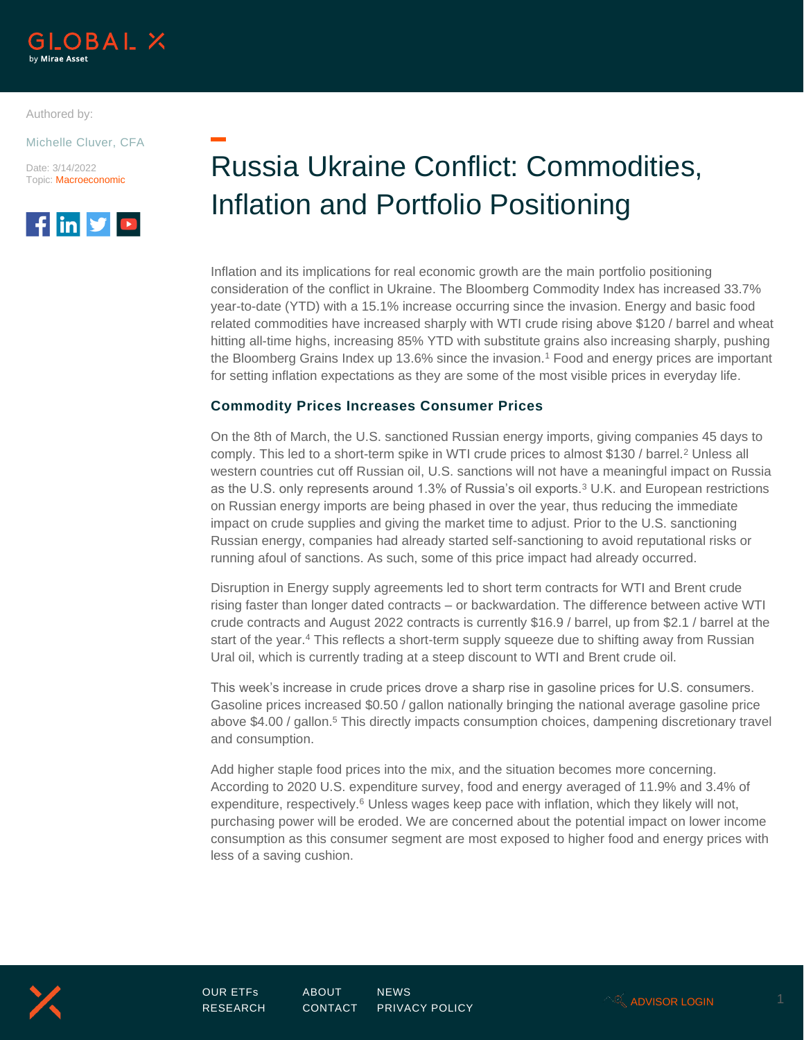

Authored by:

Michelle Cluver, CFA

Date: 3/14/2022 Topic: Macroeconomic



# Russia Ukraine Conflict: Commodities, Inflation and Portfolio Positioning

Inflation and its implications for real economic growth are the main portfolio positioning consideration of the conflict in Ukraine. The Bloomberg Commodity Index has increased 33.7% year-to-date (YTD) with a 15.1% increase occurring since the invasion. Energy and basic food related commodities have increased sharply with WTI crude rising above \$120 / barrel and wheat hitting all-time highs, increasing 85% YTD with substitute grains also increasing sharply, pushing the Bloomberg Grains Index up 13.6% since the invasion.<sup>1</sup> Food and energy prices are important for setting inflation expectations as they are some of the most visible prices in everyday life.

## **Commodity Prices Increases Consumer Prices**

On the 8th of March, the U.S. sanctioned Russian energy imports, giving companies 45 days to comply. This led to a short-term spike in WTI crude prices to almost \$130 / barrel.<sup>2</sup> Unless all western countries cut off Russian oil, U.S. sanctions will not have a meaningful impact on Russia as the U.S. only represents around 1.3% of Russia's oil exports.<sup>3</sup> U.K. and European restrictions on Russian energy imports are being phased in over the year, thus reducing the immediate impact on crude supplies and giving the market time to adjust. Prior to the U.S. sanctioning Russian energy, companies had already started self-sanctioning to avoid reputational risks or running afoul of sanctions. As such, some of this price impact had already occurred.

Disruption in Energy supply agreements led to short term contracts for WTI and Brent crude rising faster than longer dated contracts – or backwardation. The difference between active WTI crude contracts and August 2022 contracts is currently \$16.9 / barrel, up from \$2.1 / barrel at the start of the year.<sup>4</sup> This reflects a short-term supply squeeze due to shifting away from Russian Ural oil, which is currently trading at a steep discount to WTI and Brent crude oil.

This week's increase in crude prices drove a sharp rise in gasoline prices for U.S. consumers. Gasoline prices increased \$0.50 / gallon nationally bringing the national average gasoline price above \$4.00 / gallon.<sup>5</sup> This directly impacts consumption choices, dampening discretionary travel and consumption.

Add higher staple food prices into the mix, and the situation becomes more concerning. According to 2020 U.S. expenditure survey, food and energy averaged of 11.9% and 3.4% of expenditure, respectively. $6$  Unless wages keep pace with inflation, which they likely will not, purchasing power will be eroded. We are concerned about the potential impact on lower income consumption as this consumer segment are most exposed to higher food and energy prices with less of a saving cushion.

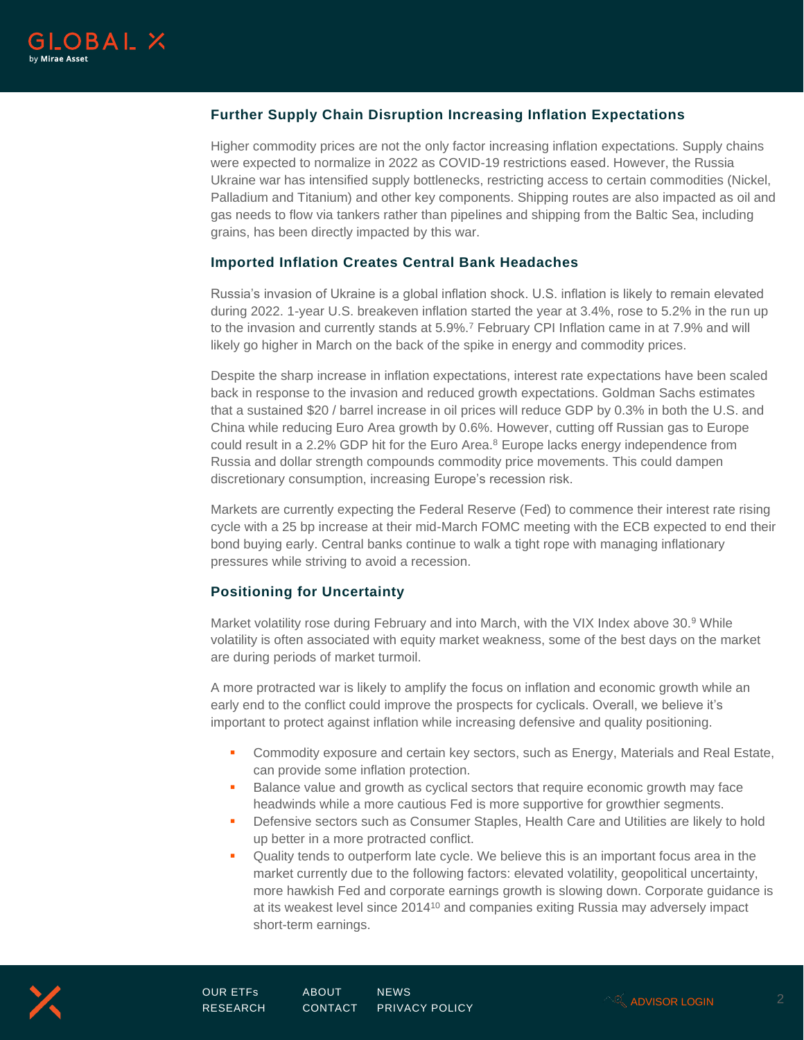

# **Further Supply Chain Disruption Increasing Inflation Expectations**

Higher commodity prices are not the only factor increasing inflation expectations. Supply chains were expected to normalize in 2022 as COVID-19 restrictions eased. However, the Russia Ukraine war has intensified supply bottlenecks, restricting access to certain commodities (Nickel, Palladium and Titanium) and other key components. Shipping routes are also impacted as oil and gas needs to flow via tankers rather than pipelines and shipping from the Baltic Sea, including grains, has been directly impacted by this war.

## **Imported Inflation Creates Central Bank Headaches**

Russia's invasion of Ukraine is a global inflation shock. U.S. inflation is likely to remain elevated during 2022. 1-year U.S. breakeven inflation started the year at 3.4%, rose to 5.2% in the run up to the invasion and currently stands at 5.9%.<sup>7</sup> February CPI Inflation came in at 7.9% and will likely go higher in March on the back of the spike in energy and commodity prices.

Despite the sharp increase in inflation expectations, interest rate expectations have been scaled back in response to the invasion and reduced growth expectations. Goldman Sachs estimates that a sustained \$20 / barrel increase in oil prices will reduce GDP by 0.3% in both the U.S. and China while reducing Euro Area growth by 0.6%. However, cutting off Russian gas to Europe could result in a 2.2% GDP hit for the Euro Area.<sup>8</sup> Europe lacks energy independence from Russia and dollar strength compounds commodity price movements. This could dampen discretionary consumption, increasing Europe's recession risk.

Markets are currently expecting the Federal Reserve (Fed) to commence their interest rate rising cycle with a 25 bp increase at their mid-March FOMC meeting with the ECB expected to end their bond buying early. Central banks continue to walk a tight rope with managing inflationary pressures while striving to avoid a recession.

## **Positioning for Uncertainty**

Market volatility rose during February and into March, with the VIX Index above 30.<sup>9</sup> While volatility is often associated with equity market weakness, some of the best days on the market are during periods of market turmoil.

A more protracted war is likely to amplify the focus on inflation and economic growth while an early end to the conflict could improve the prospects for cyclicals. Overall, we believe it's important to protect against inflation while increasing defensive and quality positioning.

- **Commodity exposure and certain key sectors, such as Energy, Materials and Real Estate,** can provide some inflation protection.
- Balance value and growth as cyclical sectors that require economic growth may face headwinds while a more cautious Fed is more supportive for growthier segments.
- **•** Defensive sectors such as Consumer Staples, Health Care and Utilities are likely to hold up better in a more protracted conflict.
- Quality tends to outperform late cycle. We believe this is an important focus area in the market currently due to the following factors: elevated volatility, geopolitical uncertainty, more hawkish Fed and corporate earnings growth is slowing down. Corporate guidance is at its weakest level since 2014<sup>10</sup> and companies exiting Russia may adversely impact short-term earnings.